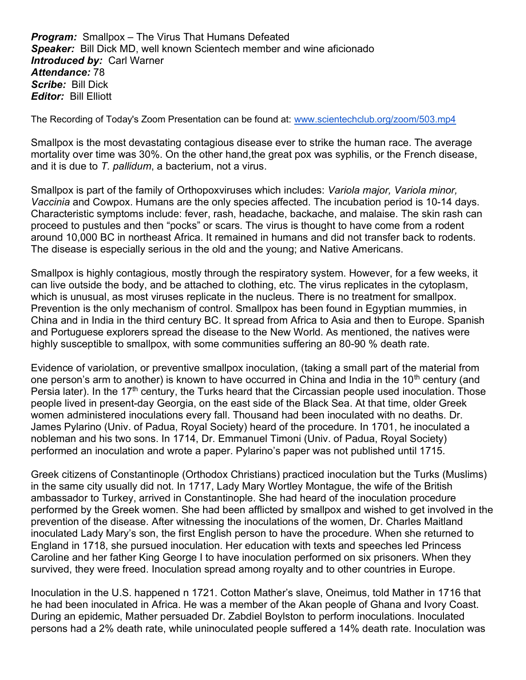**Program:** Smallpox – The Virus That Humans Defeated Speaker: Bill Dick MD, well known Scientech member and wine aficionado **Introduced by: Carl Warner** Attendance: 78 Scribe: Bill Dick **Editor: Bill Elliott** 

The Recording of Today's Zoom Presentation can be found at: www.scientechclub.org/zoom/503.mp4

Smallpox is the most devastating contagious disease ever to strike the human race. The average mortality over time was 30%. On the other hand,the great pox was syphilis, or the French disease, and it is due to T, pallidum, a bacterium, not a virus.

Smallpox is part of the family of Orthopoxviruses which includes: Variola major, Variola minor, Vaccinia and Cowpox. Humans are the only species affected. The incubation period is 10-14 days. Characteristic symptoms include: fever, rash, headache, backache, and malaise. The skin rash can proceed to pustules and then "pocks" or scars. The virus is thought to have come from a rodent around 10,000 BC in northeast Africa. It remained in humans and did not transfer back to rodents. The disease is especially serious in the old and the young; and Native Americans.

Smallpox is highly contagious, mostly through the respiratory system. However, for a few weeks, it can live outside the body, and be attached to clothing, etc. The virus replicates in the cytoplasm, which is unusual, as most viruses replicate in the nucleus. There is no treatment for smallpox. Prevention is the only mechanism of control. Smallpox has been found in Egyptian mummies, in China and in India in the third century BC. It spread from Africa to Asia and then to Europe. Spanish and Portuguese explorers spread the disease to the New World. As mentioned, the natives were highly susceptible to smallpox, with some communities suffering an 80-90 % death rate.

Evidence of variolation, or preventive smallpox inoculation, (taking a small part of the material from one person's arm to another) is known to have occurred in China and India in the  $10<sup>th</sup>$  century (and Persia later). In the  $17<sup>th</sup>$  century, the Turks heard that the Circassian people used inoculation. Those people lived in present-day Georgia, on the east side of the Black Sea. At that time, older Greek women administered inoculations every fall. Thousand had been inoculated with no deaths. Dr. James Pylarino (Univ. of Padua, Royal Society) heard of the procedure. In 1701, he inoculated a nobleman and his two sons. In 1714, Dr. Emmanuel Timoni (Univ. of Padua, Royal Society) performed an inoculation and wrote a paper. Pylarino's paper was not published until 1715.

Greek citizens of Constantinople (Orthodox Christians) practiced inoculation but the Turks (Muslims) in the same city usually did not. In 1717, Lady Mary Wortley Montague, the wife of the British ambassador to Turkey, arrived in Constantinople. She had heard of the inoculation procedure performed by the Greek women. She had been afflicted by smallpox and wished to get involved in the prevention of the disease. After witnessing the inoculations of the women, Dr. Charles Maitland inoculated Lady Mary's son, the first English person to have the procedure. When she returned to England in 1718, she pursued inoculation. Her education with texts and speeches led Princess Caroline and her father King George I to have inoculation performed on six prisoners. When they survived, they were freed. Inoculation spread among royalty and to other countries in Europe.

Inoculation in the U.S. happened n 1721. Cotton Mather's slave, Oneimus, told Mather in 1716 that he had been inoculated in Africa. He was a member of the Akan people of Ghana and Ivory Coast. During an epidemic, Mather persuaded Dr. Zabdiel Boylston to perform inoculations. Inoculated persons had a 2% death rate, while uninoculated people suffered a 14% death rate. Inoculation was